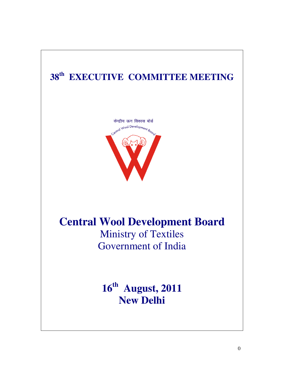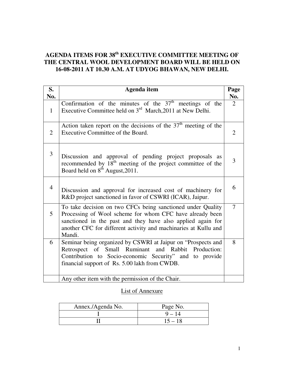## **AGENDA ITEMS FOR 38th EXECUTIVE COMMITTEE MEETING OF THE CENTRAL WOOL DEVELOPMENT BOARD WILL BE HELD ON 16-08-2011 AT 10.30 A.M. AT UDYOG BHAWAN, NEW DELHI.**

| S.<br>No.      | <b>Agenda</b> item                                                                                                                                                                                                                                                  | Page<br>No.    |
|----------------|---------------------------------------------------------------------------------------------------------------------------------------------------------------------------------------------------------------------------------------------------------------------|----------------|
| $\mathbf{1}$   | Confirmation of the minutes of the $37th$ meetings of the<br>Executive Committee held on 3 <sup>rd</sup> March, 2011 at New Delhi.                                                                                                                                  | 2              |
| 2              | Action taken report on the decisions of the $37th$ meeting of the<br>Executive Committee of the Board.                                                                                                                                                              | $\overline{2}$ |
| 3              | Discussion and approval of pending project proposals as<br>recommended by 18 <sup>th</sup> meeting of the project committee of the<br>Board held on 8 <sup>th</sup> August, 2011.                                                                                   | 3              |
| $\overline{4}$ | Discussion and approval for increased cost of machinery for<br>R&D project sanctioned in favor of CSWRI (ICAR), Jaipur.                                                                                                                                             | 6              |
| 5              | To take decision on two CFCs being sanctioned under Quality<br>Processing of Wool scheme for whom CFC have already been<br>sanctioned in the past and they have also applied again for<br>another CFC for different activity and machinaries at Kullu and<br>Mandi. | $\overline{7}$ |
| 6              | Seminar being organized by CSWRI at Jaipur on "Prospects and<br>Retrospect of Small Ruminant<br>and Rabbit<br>Production:<br>Contribution to Socio-economic Security" and to provide<br>financial support of Rs. 5.00 lakh from CWDB.                               | 8              |
|                | Any other item with the permission of the Chair.                                                                                                                                                                                                                    |                |

#### List of Annexure

| Annex./Agenda No. | Page No.  |
|-------------------|-----------|
|                   | $9 - 14$  |
|                   | $15 - 18$ |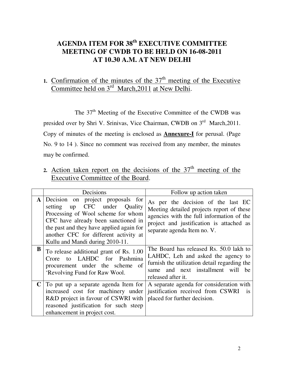# **AGENDA ITEM FOR 38th EXECUTIVE COMMITTEE MEETING OF CWDB TO BE HELD ON 16-08-2011 AT 10.30 A.M. AT NEW DELHI**

# 1. Confirmation of the minutes of the  $37<sup>th</sup>$  meeting of the Executive Committee held on 3<sup>rd</sup> March, 2011 at New Delhi.

The 37<sup>th</sup> Meeting of the Executive Committee of the CWDB was presided over by Shri V. Srinivas, Vice Chairman, CWDB on 3<sup>rd</sup> March, 2011. Copy of minutes of the meeting is enclosed as **Annexure-I** for perusal. (Page No. 9 to 14 ). Since no comment was received from any member, the minutes may be confirmed.

2. Action taken report on the decisions of the  $37<sup>th</sup>$  meeting of the Executive Committee of the Board.

|              | Decisions                                                                                                                                                                                                                                                                              | Follow up action taken                                                                                                                                                                                  |  |  |
|--------------|----------------------------------------------------------------------------------------------------------------------------------------------------------------------------------------------------------------------------------------------------------------------------------------|---------------------------------------------------------------------------------------------------------------------------------------------------------------------------------------------------------|--|--|
| $\mathbf{A}$ | Decision on project proposals for<br>CFC under Quality<br>setting<br>$\mathbf{u}$<br>Processing of Wool scheme for whom<br>CFC have already been sanctioned in<br>the past and they have applied again for<br>another CFC for different activity at<br>Kullu and Mandi during 2010-11. | As per the decision of the last EC<br>Meeting detailed projects report of these<br>agencies with the full information of the<br>project and justification is attached as<br>separate agenda Item no. V. |  |  |
| B            | To release additional grant of Rs. 1.00<br>to LAHDC for Pashmina<br>Crore<br>procurement under the scheme of<br>'Revolving Fund for Raw Wool.                                                                                                                                          | The Board has released Rs. 50.0 lakh to<br>LAHDC, Leh and asked the agency to<br>furnish the utilization detail regarding the<br>and next installment will<br>he<br>same<br>released after it.          |  |  |
|              | To put up a separate agenda Item for<br>increased cost for machinery under<br>R&D project in favour of CSWRI with<br>reasoned justification for such steep<br>enhancement in project cost.                                                                                             | A separate agenda for consideration with<br>justification received from CSWRI is<br>placed for further decision.                                                                                        |  |  |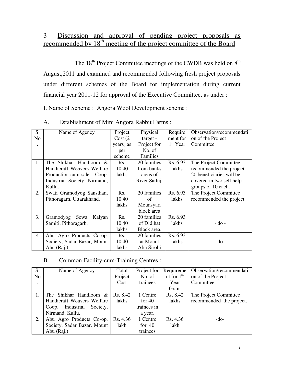## 3 Discussion and approval of pending project proposals as recommended by 18<sup>th</sup> meeting of the project committee of the Board

The 18<sup>th</sup> Project Committee meetings of the CWDB was held on 8<sup>th</sup> August,2011 and examined and recommended following fresh project proposals under different schemes of the Board for implementation during current financial year 2011-12 for approval of the Executive Committee, as under :

I. Name of Scheme : Angora Wool Development scheme :

| S.             | Name of Agency               | Project   | Physical      | Require    | Observation/recommendati |
|----------------|------------------------------|-----------|---------------|------------|--------------------------|
| No             |                              | Cost(2)   | target -      | ment for   | on of the Project        |
|                |                              | years) as | Project for   | $1st$ Year | Committee                |
|                |                              | per       | No. of        |            |                          |
|                |                              | scheme    | Families      |            |                          |
| 1.             | Shikhar Handloom &<br>The    | Rs.       | 20 families   | Rs. 6.93   | The Project Committee    |
|                | Handicraft Weavers Welfare   | 10.40     | from banks    | lakhs      | recommended the project. |
|                | Production-cum-sale<br>Coop. | lakhs     | areas of      |            | 20 beneficiaries will be |
|                | Industrial Society, Nirmand, |           | River Satluj. |            | covered in two self help |
|                | Kullu.                       |           |               |            | groups of 10 each.       |
| 2.             | Swati Gramodyog Sansthan,    | Rs.       | 20 families   | Rs. 6.93   | The Project Committee    |
|                | Pithoragarh, Uttarakhand.    | 10.40     | of            | lakhs      | recommended the project. |
|                |                              | lakhs     | Mounsyari     |            |                          |
|                |                              |           | block area    |            |                          |
| 3.             | Gramodyog<br>Sewa<br>Kalyan  | Rs.       | 20 families   | Rs. 6.93   |                          |
|                | Samiti, Pithoragarh.         | 10.40     | of Didihat    | lakhs      | $-do$ -                  |
|                |                              | lakhs     | Block area.   |            |                          |
| $\overline{4}$ | Abu Agro Products Co-op.     | Rs.       | 20 families   | Rs. 6.93   |                          |
|                | Society, Sadar Bazar, Mount  | 10.40     | at Mount      | lakhs      | - do -                   |
|                | Abu (Raj.)                   | lakhs     | Abu Sirohi    |            |                          |

A. Establishment of Mini Angora Rabbit Farms :

### B. Common Facility-cum-Training Centres :

| S.             | Name of Agency                  | Total    | Project for | Requireme    | Observation/recommendati |
|----------------|---------------------------------|----------|-------------|--------------|--------------------------|
| N <sub>o</sub> |                                 | Project  | No. of      | nt for $1st$ | on of the Project        |
|                |                                 | Cost     | trainees    | Year         | Committee                |
|                |                                 |          |             | Grant        |                          |
|                | The Shikhar Handloom & I        | Rs. 8.42 | 1 Centre    | Rs. 8.42     | The Project Committee    |
|                | Handicraft Weavers Welfare      | lakhs    | for $40$    | lakhs        | recommended the project. |
|                | Industrial<br>Society,<br>Coop. |          | trainees in |              |                          |
|                | Nirmand, Kullu.                 |          | a year.     |              |                          |
| 2.             | Abu Agro Products Co-op.        | Rs. 4.36 | 1 Centre    | Rs. 4.36     | $-do-$                   |
|                | Society, Sadar Bazar, Mount     | lakh     | for $40$    | lakh         |                          |
|                | Abu (Raj.)                      |          | trainees    |              |                          |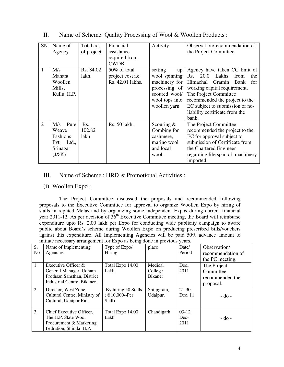| SN             | Name of       | Total cost       | Financial                | Activity       | Observation/recommendation of       |  |
|----------------|---------------|------------------|--------------------------|----------------|-------------------------------------|--|
|                | Agency        | of project       | assistance               |                | the Project Committee               |  |
|                |               |                  | required from            |                |                                     |  |
|                |               |                  | <b>CWDB</b>              |                |                                     |  |
| 1              | M/s           | Rs. 84.02        | $50\%$ of total          | setting<br>up  | Agency have taken CC limit of       |  |
|                | Mahant        | lakh.            | project cost <i>i.e.</i> | wool spinning  | 20.0<br>Lakhs<br>Rs.<br>from<br>the |  |
|                | Woollen       |                  | Rs. 42.01 lakhs.         | machinery for  | Himachal<br>Gramin<br>Bank<br>for   |  |
|                | Mills,        |                  |                          | processing of  | working capital requirement.        |  |
|                | Kullu, H.P.   |                  |                          | scoured wool/  | The Project Committee               |  |
|                |               |                  |                          | wool tops into | recommended the project to the      |  |
|                |               |                  |                          | woollen yarn   | EC subject to submission of no-     |  |
|                |               |                  |                          |                | liability certificate from the      |  |
|                |               |                  |                          |                | bank.                               |  |
| $\overline{2}$ | Pure<br>M/s   | R <sub>s</sub> . | Rs. 50 lakh.             | Scouring $&$   | The Project Committee               |  |
|                | Weave         | 102.82           |                          | Combing for    | recommended the project to the      |  |
|                | Fashions      | lakh             |                          | cashmere,      | EC for approval subject to          |  |
|                | Ltd.,<br>Pvt. |                  |                          | marino wool    | submission of Certificate from      |  |
|                | Srinagar      |                  |                          | and local      | the Chartered Engineer              |  |
|                | (J&K)         |                  |                          | wool.          | regarding life span of machinery    |  |
|                |               |                  |                          |                | imported.                           |  |

#### II. Name of Scheme: Quality Processing of Wool & Woollen Products :

#### III. Name of Scheme : HRD & Promotional Activities :

#### (i) Woollen Expo :

 The Project Committee discussed the proposals and recommended following proposals to the Executive Committee for approval to organize Woollen Expo by hiring of stalls in reputed Melas and by organizing some independent Expos during current financial year 2011-12. As per decision of  $36<sup>th</sup>$  Executive Committee meeting, the Board will reimburse expenditure upto Rs. 2.00 lakh per Expo for conducting wide publicity campaign to aware public about Board's scheme during Woollen Expo on producing prescribed bills/vouchers against this expenditure. All Implementing Agencies will be paid 50% advance amount to initiate necessary arrangement for Expo as being done in previous years.

|                | $\cdots$<br>$\frac{1}{2}$ and $\frac{1}{2}$ are $\frac{1}{2}$ and $\frac{1}{2}$ are $\frac{1}{2}$ and $\frac{1}{2}$ are $\frac{1}{2}$ and $\frac{1}{2}$ are $\frac{1}{2}$ and $\frac{1}{2}$ are $\frac{1}{2}$ and $\frac{1}{2}$ are $\frac{1}{2}$ and $\frac{1}{2}$ are $\frac{1}{2}$ and $\frac{1}{2}$ a |                                                     |                        |                         |                   |  |  |
|----------------|-----------------------------------------------------------------------------------------------------------------------------------------------------------------------------------------------------------------------------------------------------------------------------------------------------------|-----------------------------------------------------|------------------------|-------------------------|-------------------|--|--|
| S.             | Name of Implementing                                                                                                                                                                                                                                                                                      | Type of Expo/                                       | place                  | Date/                   | Observation/      |  |  |
| N <sub>o</sub> | Agencies                                                                                                                                                                                                                                                                                                  | Hiring                                              |                        | Period                  | recommendation of |  |  |
|                |                                                                                                                                                                                                                                                                                                           |                                                     |                        |                         | the PC meeting.   |  |  |
| 1.             | Executive Officer &                                                                                                                                                                                                                                                                                       | Total Expo 14.00                                    | Medical                | Dec.,                   | The Project       |  |  |
|                | General Manager, Udham                                                                                                                                                                                                                                                                                    | Lakh                                                | College                | 2011                    | Committee         |  |  |
|                | Prothsan Sansthan, District                                                                                                                                                                                                                                                                               |                                                     | <b>Bikaner</b>         |                         | recommended the   |  |  |
|                | Industrial Centre, Bikaner.                                                                                                                                                                                                                                                                               |                                                     |                        |                         | proposal.         |  |  |
| 2.             | Director, West Zone<br>Cultural Centre, Ministry of<br>Cultural, Udaipur.Raj.                                                                                                                                                                                                                             | By hiring 50 Stalls<br>$(Q 10,000/- Per)$<br>Stall) | Shilpgram,<br>Udaipur. | $21 - 30$<br>Dec. 11    | - do -            |  |  |
| 3.             | Chief Executive Officer,<br>The H.P. State Wool<br>Procurement & Marketing<br>Fedration, Shimla H.P.                                                                                                                                                                                                      | Total Expo 14.00<br>Lakh                            | Chandigarh             | $03-12$<br>Dec-<br>2011 | $-do$ -           |  |  |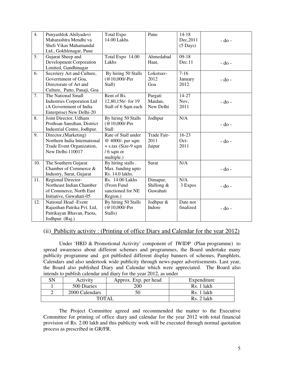| 4.  | Punyashlok Ahilyadevi             | <b>Total Expo</b>     | Pune         | $14 - 18$          |            |
|-----|-----------------------------------|-----------------------|--------------|--------------------|------------|
|     | Maharashtra Mendhi va             | 14.00 Lakhs           |              | Dec, 2011          | $-do-$     |
|     | Sheli Vikas Mahamandal            |                       |              | $(5 \text{ Days})$ |            |
|     | Ltd., Gokhlenagar, Pune           |                       |              |                    |            |
| 5.  | Gujarat Sheep and                 | Total Expo 14.00      | Ahmedabad    | $09-18$            |            |
|     | <b>Development Corporation</b>    | Lakhs                 | Haat,        | Dec.11             | $-$ do $-$ |
|     | Limited, Gandhinagar              |                       |              |                    |            |
| 6.  | Secretery Art and Culture,        | By hiring 50 Stalls   | Lokotsav-    | $7-16$             |            |
|     | Government of Goa,                | (@10,000/-Per         | 2012         | January            | $-do-$     |
|     | Directorate of Art and            | Stall)                | Goa          | 2012               |            |
|     | Culture, Patto, Panaji, Goa       |                       |              |                    |            |
| 7.  | The National Small                | Rent of Rs.           | Pargati      | 14-27              |            |
|     | <b>Industries Corporation Ltd</b> | 12,80,156/- for 19    | Maidan,      | Nov,               | $-do-$     |
|     | (A Government of India            | Stall of 6 Sqm each   | New Delhi    | 2011               |            |
|     | Enterprise) New Delhi-20          |                       |              |                    |            |
| 8.  | Joint Director, Udham             | By hiring 50 Stalls   | Jodhpur      | N/A                |            |
|     | Prothsan Sansthan, District       | (@10,000/-Per         |              |                    | $-do$ -    |
|     | Industrial Centre, Jodhpur.       | <b>Stall</b>          |              |                    |            |
| 9.  | Director, (Marketing)             | Rate of Stall under   | Trade Fair-  | $16-23$            |            |
|     | Northern India International      | @ 4000/- per sqm      | 2011         | Oct-               | $-do$ -    |
|     | Trade Event Organization,         | $+$ s.tax (Size-9 sqm | Jaipur       | 2011               |            |
|     | New Delhi-110017                  | $/6$ sqm or           |              |                    |            |
|     |                                   | multiple.)            |              |                    |            |
| 10. | The Southern Gujarat              | By hiring stalls.     | Surat        | N/A                |            |
|     | Chamber of Commerce &             | Max. funding upto     |              |                    | $-do$ -    |
|     | Industry, Surat, Gujarat          | Rs. 14.0 lakhs.       |              |                    |            |
| 11. | <b>Regional Director-</b>         | Rs. 14.00 Lakhs       | Dimapur,     | N/A                |            |
|     | Northeast Indian Chamber          | (From Fund            | Shillong $&$ | 3 Expos            | $-$ do $-$ |
|     | of Commerce, North East           | sanctioned for NE     | Guwahati     |                    |            |
|     | Initiative, Guwahati-05           | Region.)              |              |                    |            |
| 12. | National Head -Event              | By hiring 50 Stalls   | Jodhpur &    | Date not           |            |
|     | Rajasthan Patrika Pvt. Ltd,       | (@10,000/-Per         | Indore       | finalized          | $-do$ -    |
|     | Patrikayan Bhavan, Paota,         | Stalls)               |              |                    |            |
|     | Jodhpur. (Raj.)                   |                       |              |                    |            |

#### (ii) Publicity activity : (Printing of office Diary and Calendar for the year 2012)

 Under 'HRD & Promotional Activity' component of IWIDP (Plan programme) to spread awareness about different schemes and programmes, the Board undertake many publicity programme and got published different display banners of schemes, Pamphlets, Calendars and also undertook wide publicity through news-paper advertisements. Last year, the Board also published Diary and Calendar which were appreciated. The Board also intends to publish calendar and diary for the year 2012, as under

| SN | Activity       | Approx. Exp. per head | Expenditure |
|----|----------------|-----------------------|-------------|
|    | 500 Diaries    | 200                   | Rs. 1 lakh  |
|    | 2000 Calendars |                       | Rs. 1 lakh  |
|    | TOTAI          | Rs. 2 lakh            |             |

 The Project Committee agreed and recommended the matter to the Executive Committee for printing of office diary and calendar for the year 2012 with total financial provision of Rs. 2.00 lakh and this publicity work will be executed through normal quotation process as prescribed in GR/FR.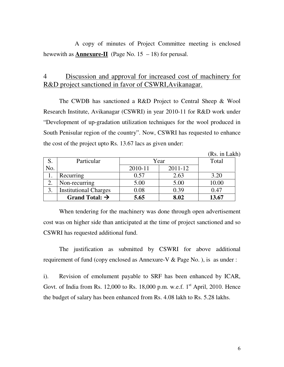A copy of minutes of Project Committee meeting is enclosed hewewith as **Annexure-II** (Page No.  $15 - 18$ ) for perusal.

## 4 Discussion and approval for increased cost of machinery for R&D project sanctioned in favor of CSWRI,Avikanagar.

 The CWDB has sanctioned a R&D Project to Central Sheep & Wool Research Institute, Avikanagar (CSWRI) in year 2010-11 for R&D work under "Development of up-gradation utilization techniques for the wool produced in South Penisular region of the country". Now, CSWRI has requested to enhance the cost of the project upto Rs. 13.67 lacs as given under:

(Rs. in Lakh)

|               | Particular                   | Year    | Total   |       |
|---------------|------------------------------|---------|---------|-------|
| No.           |                              | 2010-11 | 2011-12 |       |
|               | Recurring                    | 0.57    | 2.63    | 3.20  |
| $\mathcal{L}$ | Non-recurring                | 5.00    | 5.00    | 10.00 |
|               | <b>Institutional Charges</b> | 0.08    | 0.39    | 0.47  |
|               | Grand Total: $\rightarrow$   | 5.65    | 8.02    | 13.67 |

 When tendering for the machinery was done through open advertisement cost was on higher side than anticipated at the time of project sanctioned and so CSWRI has requested additional fund.

 The justification as submitted by CSWRI for above additional requirement of fund (copy enclosed as Annexure-V & Page No. ), is as under :

i). Revision of emolument payable to SRF has been enhanced by ICAR, Govt. of India from Rs. 12,000 to Rs. 18,000 p.m. w.e.f.  $1<sup>st</sup>$  April, 2010. Hence the budget of salary has been enhanced from Rs. 4.08 lakh to Rs. 5.28 lakhs.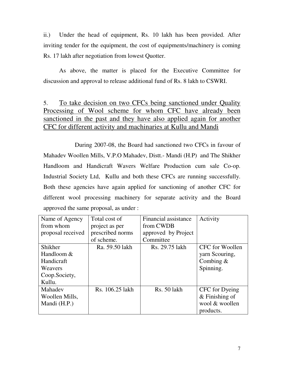ii.) Under the head of equipment, Rs. 10 lakh has been provided. After inviting tender for the equipment, the cost of equipments/machinery is coming Rs. 17 lakh after negotiation from lowest Quotter.

As above, the matter is placed for the Executive Committee for discussion and approval to release additional fund of Rs. 8 lakh to CSWRI.

## 5. To take decision on two CFCs being sanctioned under Quality Processing of Wool scheme for whom CFC have already been sanctioned in the past and they have also applied again for another CFC for different activity and machinaries at Kullu and Mandi

 During 2007-08, the Board had sanctioned two CFCs in favour of Mahadev Woollen Mills, V.P.O Mahadev, Distt.- Mandi (H.P) and The Shikher Handloom and Handicraft Wavers Welfare Production cum sale Co-op. Industrial Society Ltd, Kullu and both these CFCs are running successfully. Both these agencies have again applied for sanctioning of another CFC for different wool processing machinery for separate activity and the Board approved the same proposal, as under :

| Name of Agency    | Total cost of    | Financial assistance | Activity         |
|-------------------|------------------|----------------------|------------------|
| from whom         | project as per   | from CWDB            |                  |
| proposal received | prescribed norms | approved by Project  |                  |
|                   | of scheme.       | Committee            |                  |
| Shikher           | Ra. 59.50 lakh   | Rs. 29.75 lakh       | CFC for Woollen  |
| Handloom &        |                  |                      | yarn Scouring,   |
| Handicraft        |                  |                      | Combing $&$      |
| Weavers           |                  |                      | Spinning.        |
| Coop.Society,     |                  |                      |                  |
| Kullu.            |                  |                      |                  |
| Mahadev           | Rs. 106.25 lakh  | Rs. 50 lakh          | CFC for Dyeing   |
| Woollen Mills,    |                  |                      | $&$ Finishing of |
| Mandi (H.P.)      |                  |                      | wool & woollen   |
|                   |                  |                      | products.        |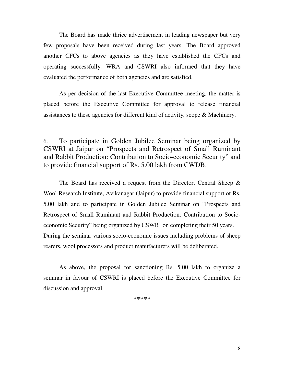The Board has made thrice advertisement in leading newspaper but very few proposals have been received during last years. The Board approved another CFCs to above agencies as they have established the CFCs and operating successfully. WRA and CSWRI also informed that they have evaluated the performance of both agencies and are satisfied.

As per decision of the last Executive Committee meeting, the matter is placed before the Executive Committee for approval to release financial assistances to these agencies for different kind of activity, scope & Machinery.

## 6. To participate in Golden Jubilee Seminar being organized by CSWRI at Jaipur on "Prospects and Retrospect of Small Ruminant and Rabbit Production: Contribution to Socio-economic Security" and to provide financial support of Rs. 5.00 lakh from CWDB.

 The Board has received a request from the Director, Central Sheep & Wool Research Institute, Avikanagar (Jaipur) to provide financial support of Rs. 5.00 lakh and to participate in Golden Jubilee Seminar on "Prospects and Retrospect of Small Ruminant and Rabbit Production: Contribution to Socioeconomic Security" being organized by CSWRI on completing their 50 years. During the seminar various socio-economic issues including problems of sheep rearers, wool processors and product manufacturers will be deliberated.

 As above, the proposal for sanctioning Rs. 5.00 lakh to organize a seminar in favour of CSWRI is placed before the Executive Committee for discussion and approval.

\*\*\*\*\*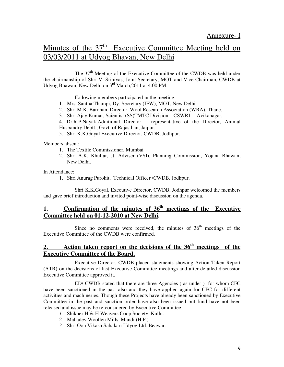# Minutes of the 37<sup>th</sup> Executive Committee Meeting held on 03/03/2011 at Udyog Bhavan, New Delhi

The  $37<sup>th</sup>$  Meeting of the Executive Committee of the CWDB was held under the chairmanship of Shri V. Srinivas, Joint Secretary, MOT and Vice Chairman, CWDB at Udyog Bhawan, New Delhi on 3<sup>rd</sup> March, 2011 at 4.00 PM.

Following members participated in the meeting:

- 1. Mrs. Santha Thampi, Dy. Secretary (IFW), MOT, New Delhi.
- 2. Shri M.K. Bardhan, Director, Wool Research Association (WRA), Thane.
- 3. Shri Ajay Kumar, Scientist (SS)TMTC Division CSWRI, Avikanagar,

4. Dr.R.P.Nayak,Additional Director – representative of the Director, Animal Husbandry Deptt., Govt. of Rajasthan, Jaipur.

5. Shri K.K.Goyal Executive Director, CWDB, Jodhpur.

Members absent:

- 1. The Textile Commissioner, Mumbai
- 2. Shri A.K. Khullar, Jt. Adviser (VSI), Planning Commission, Yojana Bhawan, New Delhi.

In Attendance:

1. Shri Anurag Purohit, Technical Officer /CWDB, Jodhpur.

 Shri K.K.Goyal, Executive Director, CWDB, Jodhpur welcomed the members and gave brief introduction and invited point-wise discussion on the agenda.

### **1. Confirmation of the minutes of 36th meetings of the Executive Committee held on 01-12-2010 at New Delhi.**

Since no comments were received, the minutes of  $36<sup>th</sup>$  meetings of the Executive Committee of the CWDB were confirmed.

### **2. Action taken report on the decisions of the 36th meetings of the Executive Committee of the Board.**

 Executive Director, CWDB placed statements showing Action Taken Report (ATR) on the decisions of last Executive Committee meetings and after detailed discussion Executive Committee approved it.

 ED/ CWDB stated that there are three Agencies ( as under ) for whom CFC have been sanctioned in the past also and they have applied again for CFC for different activities and machineries. Though these Projects have already been sanctioned by Executive Committee in the past and sanction order have also been issued but fund have not been released and issue may be re-considered by Executive Committee.

- *1.* Shikher H & H Weavers Coop.Society, Kullu.
- *2.* Mahadev Woollen Mills, Mandi (H.P.)
- *3.* Shri Oon Vikash Sahakari Udyog Ltd. Beawar.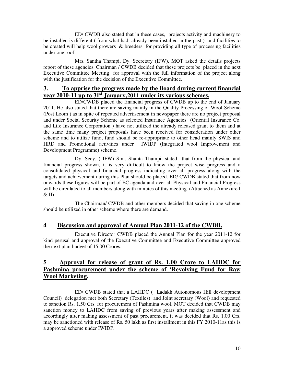ED/ CWDB also stated that in these cases, projects activity and machinery to be installed is different ( from what had already been installed in the past ) and facilities to be created will help wool growers & breeders for providing all type of processing facilities under one roof.

 Mrs. Santha Thampi, Dy. Secretary (IFW), MOT asked the details projects report of these agencies. Chairman / CWDB decided that these projects be placed in the next Executive Committee Meeting for approval with the full information of the project along with the justification for the decision of the Executive Committee.

#### **3. To apprise the progress made by the Board during current financial year 2010-11 up to 31st January,2011 under its various schemes.**

 ED/CWDB placed the financial progress of CWDB up to the end of January 2011. He also stated that there are saving mainly in the Quality Processing of Wool Scheme (Post Loom ) as in spite of repeated advertisement in newspaper there are no project proposal and under Social Security Scheme as selected Insurance Agencies (Oriental Insurance Co. and Life Insurance Corporation ) have not utilized the already released grant to them and at the same time many project proposals have been received for consideration under other scheme and to utilize fund, fund should be re-appropriate to other head mainly SWIS and HRD and Promotional activities under IWIDP (Integrated wool Improvement and Development Programme) scheme.

 Dy. Secy. ( IFW) Smt. Shanta Thampi, stated that from the physical and financial progress shown, it is very difficult to know the project wise progress and a consolidated physical and financial progress indicating over all progress along with the targets and achievement during this Plan should be placed. ED/ CWDB stated that from now onwards these figures will be part of EC agenda and over all Physical and Financial Progress will be circulated to all members along with minutes of this meeting. (Attached as Annexure I  $&$  II)

 The Chairman/ CWDB and other members decided that saving in one scheme should be utilized in other scheme where there are demand.

### **4 Discussion and approval of Annual Plan 2011-12 of the CWDB.**

 Executive Director CWDB placed the Annual Plan for the year 2011-12 for kind perusal and approval of the Executive Committee and Executive Committee approved the next plan budget of 15.00 Crores.

### **5 Approval for release of grant of Rs. 1.00 Crore to LAHDC for Pashmina procurement under the scheme of 'Revolving Fund for Raw Wool Marketing.**

 ED/ CWDB stated that a LAHDC ( Ladakh Autonomous Hill development Council) delegation met both Secretary (Textiles) and Joint secretary (Wool) and requested to sanction Rs. 1.50 Crs. for procurement of Pashmina wool. MOT decided that CWDB may sanction money to LAHDC from saving of previous years after making assessment and accordingly after making assessment of past procurement, it was decided that Rs. 1.00 Crs. may be sanctioned with release of Rs. 50 lakh as first installment in this FY 2010-11as this is a approved scheme under IWIDP.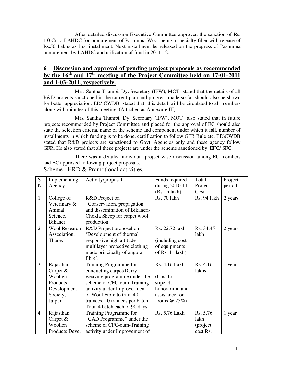After detailed discussion Executive Committee approved the sanction of Rs. 1.0 Cr to LAHDC for procurement of Pashmina Wool being a specialty fiber with release of Rs.50 Lakhs as first installment. Next installment be released on the progress of Pashmina procurement by LAHDC and utilization of fund in 2011-12.

### **6 Discussion and approval of pending project proposals as recommended by the 16th and 17th meeting of the Project Committee held on 17-01-2011 and 1-03-2011, respectively.**

 Mrs. Santha Thampi, Dy. Secretary (IFW), MOT stated that the details of all R&D projects sanctioned in the current plan and progress made so far should also be shown for better appreciation. ED/ CWDB stated that this detail will be circulated to all members along with minutes of this meeting. (Attached as Annexure III)

 Mrs. Santha Thampi, Dy. Secretary (IFW), MOT also stated that in future projects recommended by Project Committee and placed for the approval of EC should also state the selection criteria, name of the scheme and component under which it fall, number of installments in which funding is to be done, certification to follow GFR Rule etc. ED\CWDB stated that R&D projects are sanctioned to Govt. Agencies only and these agency follow GFR. He also stated that all these projects are under the scheme sanctioned by EFC/ SFC.

 There was a detailed individual project wise discussion among EC members and EC approved following project proposals.

| S              | Implementing.        | Activity/proposal                | Funds required  | Total       | Project |
|----------------|----------------------|----------------------------------|-----------------|-------------|---------|
| N              | Agency               |                                  | during 2010-11  | Project     | period  |
|                |                      |                                  | (Rs. in lakh)   | Cost        |         |
| $\mathbf{1}$   | College of           | R&D Project on                   | Rs. 70 lakh     | Rs. 94 lakh | 2 years |
|                | Veterinary &         | "Conservation, propagation       |                 |             |         |
|                | Animal               | and dissemination of Bikaneri-   |                 |             |         |
|                | Science,             | Chokla Sheep for carpet wool     |                 |             |         |
|                | Bikaner.             | production                       |                 |             |         |
| $\overline{2}$ | <b>Wool Research</b> | R&D Project proposal on          | Rs. 22.72 lakh  | Rs. 34.45   | 2 years |
|                | Association,         | 'Development of thermal          |                 | lakh        |         |
|                | Thane.               | responsive high altitude         | (including cost |             |         |
|                |                      | multilayer protective clothing   | of equipments   |             |         |
|                |                      | made principally of angora       | of Rs. 11 lakh) |             |         |
|                |                      | fibre'.                          |                 |             |         |
| 3              | Rajasthan            | Training Programme for           | Rs. 4.16 Lakh   | Rs. 4.16    | 1 year  |
|                | Carpet $&$           | conducting carpet/Durry          |                 | lakhs       |         |
|                | Woollen              | weaving programme under the      | (Cost for       |             |         |
|                | Products             | scheme of CFC-cum-Training       | stipend,        |             |         |
|                | Development          | activity under Improve-ment      | honorarium and  |             |         |
|                | Society,             | of Wool Fibre to train 40        | assistance for  |             |         |
|                | Jaipur.              | trainees. 10 trainees per batch. | looms $@25\%$ ) |             |         |
|                |                      | Total 4 batch each of 90 days.   |                 |             |         |
| $\overline{4}$ | Rajasthan            | Training Programme for           | Rs. 5.76 Lakh   | Rs. 5.76    | 1 year  |
|                | Carpet $&$           | "CAD Programme" under the        |                 | lakh        |         |
|                | Woollen              | scheme of CFC-cum-Training       |                 | (project    |         |
|                | Products Deve.       | activity under Improvement of    |                 | cost Rs.    |         |

Scheme : HRD & Promotional activities.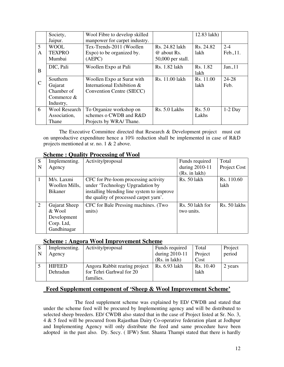|               | Society,<br>Jaipur.                                            | Wool Fibre to develop skilled<br>manpower for carpet industry.                        |                                                    | 12.83 lakh)       |                      |
|---------------|----------------------------------------------------------------|---------------------------------------------------------------------------------------|----------------------------------------------------|-------------------|----------------------|
| 5<br>A        | <b>WOOL</b><br><b>TEXPRO</b><br>Mumbai                         | Tex-Trends-2011 (Woollen<br>Expo) to be organized by.<br>(AEPC)                       | Rs. 24.82 lakh<br>@ about Rs.<br>50,000 per stall. | Rs. 24.82<br>lakh | $2 - 4$<br>Feb., 11. |
| B             | DIC, Pali                                                      | Woollen Expo at Pali                                                                  | Rs. 1.82 lakh                                      | Rs. 1.82<br>lakh  | Jan., 11             |
| $\mathcal{C}$ | Southern<br>Gujarat<br>Chamber of<br>Commerce $&$<br>Industry, | Woollen Expo at Surat with<br>International Exhibition &<br>Convention Centre (SIECC) | Rs. 11.00 lakh                                     | Rs. 11.00<br>lakh | 24-28<br>Feb.        |
| 6             | <b>Wool Research</b><br>Association,<br>Thane                  | To Organize workshop on<br>schemes o CWDB and R&D<br>Projects by WRA/Thane.           | Rs. 5.0 Lakhs                                      | Rs. 5.0<br>Lakhs  | $1-2$ Day            |

 The Executive Committee directed that Research & Development project must cut on unproductive expenditure hence a 10% reduction shall be implemented in case of R&D projects mentioned at sr. no. 1 & 2 above.

| Implementing.  | Activity/proposal                          | Funds required                                             | Total        |
|----------------|--------------------------------------------|------------------------------------------------------------|--------------|
| Agency         |                                            | during 2010-11                                             | Project Cost |
|                |                                            | (Rs. in lakh)                                              |              |
| M/s. Laxmi     | CFC for Pre-loom processing activity       | Rs. 50 lakh                                                | Rs. 110.60   |
| Woollen Mills, | under 'Technology Upgradation by           |                                                            | lakh         |
| <b>Bikaner</b> | installing blending line system to improve |                                                            |              |
|                | the quality of processed carpet yarn'.     |                                                            |              |
| Gujarat Sheep  | CFC for Bale Pressing machines. (Two       | Rs. 50 lakh for                                            | Rs. 50 lakhs |
| & Wool         | units)                                     | two units.                                                 |              |
| Development    |                                            |                                                            |              |
| Corp. Ltd,     |                                            |                                                            |              |
| Gandhinagar    |                                            |                                                            |              |
|                |                                            | $D$ cheme a $Q$ uant $\gamma$ if recepping of $\gamma$ our |              |

### **Scheme : Quality Processing of Wool**

#### **Scheme : Angora Wool Improvement Scheme**

| -S | Implementing. | Activity/proposal             | Funds required | Total     | Project |
|----|---------------|-------------------------------|----------------|-----------|---------|
|    | Agency        |                               | during 2010-11 | Project   | period  |
|    |               |                               | (Rs. in 1akh)  | Cost      |         |
|    | <b>HIFEED</b> | Angora Rabbit rearing project | Rs. 6.93 lakh  | Rs. 10.40 | 2 years |
|    | Dehradun      | for Tehri Garhwal for 20      |                | lakh      |         |
|    |               | families.                     |                |           |         |

### **Feed Supplement component of 'Sheep & Wool Improvement Scheme'**

 The feed supplement scheme was explained by ED/ CWDB and stated that under the scheme feed will be procured by Implementing agency and will be distributed to selected sheep breeders. ED/ CWDB also stated that in the case of Project listed at Sr. No. 3, 4 & 5 feed will be procured from Rajasthan Dairy Co-operative federation plant at Jodhpur and Implementing Agency will only distribute the feed and same procedure have been adopted in the past also. Dy. Secy. ( IFW) Smt. Shanta Thampi stated that there is hardly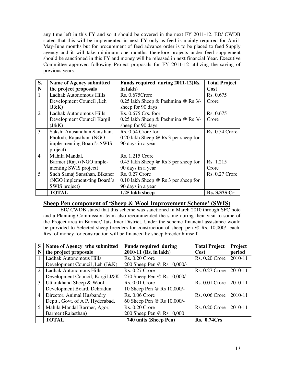any time left in this FY and so it should be covered in the next FY 2011-12. ED/ CWDB stated that this will be implemented in next FY only as feed is mainly required for April-May-June months but for procurement of feed advance order is to be placed to feed Supply agency and it will take minimum one months, therefore projects under feed supplement should be sanctioned in this FY and money will be released in next financial Year. Executive Committee approved following Project proposals for FY 2011-12 utilizing the saving of previous years.

| S.             | <b>Name of Agency submitted</b> | Funds required during 2011-12(Rs.           | <b>Total Project</b> |
|----------------|---------------------------------|---------------------------------------------|----------------------|
| N              | the project proposals           | in lakh)                                    | Cost                 |
| $\mathbf{1}$   | Ladhak Autonomous Hills         | Rs. 0.675 Crore                             | Rs. 0.675            |
|                | Development Council , Leh       | 0.25 lakh Sheep & Pashmina @ Rs 3/-         | Crore                |
|                | (J&K)                           | sheep for 90 days                           |                      |
| 2              | Ladhak Autonomous Hills         | $Rs. 0.675$ Crs. foor                       | Rs. 0.675            |
|                | Development Council Kargil      | 0.25 lakh Sheep & Pashmina @ Rs 3/-         | Crore                |
|                | (J&K)                           | sheep for 90 days                           |                      |
| 3              | Sakshi Anusandhan Sansthan,     | Rs. 0.54 Crore for                          | $Rs. 0.54$ Crore     |
|                | Pholodi, Rajasthan. (NGO        | 0.20 lakh Sheep $\omega$ Rs 3 per sheep for |                      |
|                | imple-menting Board's SWIS      | 90 days in a year                           |                      |
|                | project)                        |                                             |                      |
| $\overline{4}$ | Mahila Mandal,                  | Rs. 1.215 Crore                             |                      |
|                | Barmer (Raj.) (NGO imple-       | 0.45 lakh Sheep @ Rs 3 per sheep for        | Rs. 1.215            |
|                | menting SWIS project)           | 90 days in a year                           | Crore                |
| 5              | Sneh Samaj Sansthan, Bikaner    | <b>Rs. 0.27 Crore</b>                       | $Rs. 0.27$ Crore     |
|                | (NGO implement-ting Board's     | 0.10 lakh Sheep $@$ Rs 3 per sheep for      |                      |
|                | SWIS project)                   | 90 days in a year                           |                      |
|                | <b>TOTAL</b>                    | 1.25 lakh sheep                             | Rs. 3.375 Cr         |

#### **Sheep Pen component of 'Sheep & Wool Improvement Scheme' (SWIS)**

 ED/ CWDB stated that this scheme was sanctioned in March 2010 through SFC note and a Planning Commission team also recommended the same during their visit to some of the Project area in Barmer/ Jaisalmer District. Under the scheme financial assistance would be provided to Selected sheep breeders for construction of sheep pen @ Rs. 10,000/- each. Rest of money for construction will be financed by sheep breeder himself.

| S                           | Name of Agency who submitted     | <b>Funds required during</b> | <b>Total Project</b>  | Project |
|-----------------------------|----------------------------------|------------------------------|-----------------------|---------|
| N                           | the project proposals            | 2010-11 (Rs. in lakh)        | Cost                  | period  |
|                             | <b>Ladhak Autonomous Hills</b>   | <b>Rs. 0.20 Crore</b>        | <b>Rs. 0.20 Crore</b> | 2010-11 |
|                             | Development Council , Leh (J&K)  | 200 Sheep Pen @ Rs 10,000/-  |                       |         |
| $\mathcal{D}_{\mathcal{L}}$ | Ladhak Autonomous Hills          | <b>Rs. 0.27 Crore</b>        | <b>Rs. 0.27 Crore</b> | 2010-11 |
|                             | Development Council, Kargil J&K  | 270 Sheep Pen @ Rs 10,000/-  |                       |         |
| 3                           | Uttarakhand Sheep & Wool         | <b>Rs. 0.01 Crore</b>        | $Rs. 0.01$ Crore      | 2010-11 |
|                             | Development Board, Dehradun      | 10 Sheep Pen @ Rs 10,000/-   |                       |         |
| $\overline{4}$              | Director, Animal Husbandry       | <b>Rs. 0.06 Crore</b>        | $Rs. 0.06$ Crore      | 2010-11 |
|                             | Deptt., Govt. of A P, Hyderabad. | 60 Sheep Pen @ Rs 10,000/-   |                       |         |
| 5                           | Mahila Mandal Barmer, Agor,      | <b>Rs. 0.20 Crore</b>        | $Rs. 0.20$ Crore      | 2010-11 |
|                             | Barmer (Rajasthan)               | 200 Sheep Pen @ Rs 10,000    |                       |         |
|                             | <b>TOTAL</b>                     | 740 units (Sheep Pen)        | <b>Rs. 0.74Crs</b>    |         |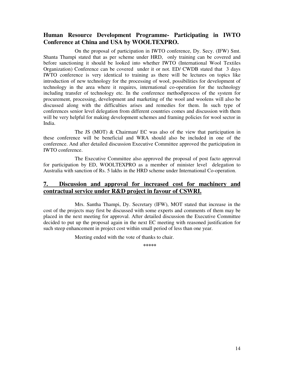#### **Human Resource Development Programme- Participating in IWTO Conference at China and USA by WOOLTEXPRO.**

 On the proposal of participation in IWTO conference, Dy. Secy. (IFW) Smt. Shanta Thampi stated that as per scheme under HRD, only training can be covered and before sanctioning it should be looked into whether IWTO (International Wool Textiles Organization) Conference can be covered under it or not. ED/ CWDB stated that 3 days IWTO conference is very identical to training as there will be lectures on topics like introduction of new technology for the processing of wool, possibilities for development of technology in the area where it requires, international co-operation for the technology including transfer of technology etc. In the conference method\process of the system for procurement, processing, development and marketing of the wool and woolens will also be discussed along with the difficulties arises and remedies for them. In such type of conferences senior level delegation from different countries comes and discussion with them will be very helpful for making development schemes and framing policies for wool sector in India.

 The JS (MOT) & Chairman/ EC was also of the view that participation in these conference will be beneficial and WRA should also be included in one of the conference. And after detailed discussion Executive Committee approved the participation in IWTO conference.

 The Executive Committee also approved the proposal of post facto approval for participation by ED, WOOLTEXPRO as a member of minister level delegation to Australia with sanction of Rs. 5 lakhs in the HRD scheme under International Co-operation.

#### **7. Discussion and approval for increased cost for machinery and contractual service under R&D project in favour of CSWRI.**

 Mrs. Santha Thampi, Dy. Secretary (IFW), MOT stated that increase in the cost of the projects may first be discussed with some experts and comments of them may be placed in the next meeting for approval. After detailed discussion the Executive Committee decided to put up the proposal again in the next EC meeting with reasoned justification for such steep enhancement in project cost within small period of less than one year.

Meeting ended with the vote of thanks to chair.

**\*\*\*\*\***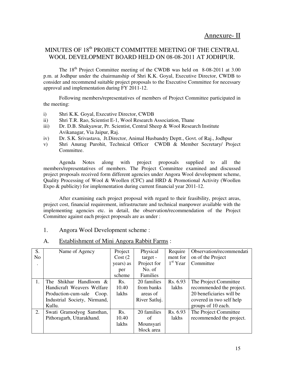## MINUTES OF 18<sup>th</sup> PROJECT COMMITTEE MEETING OF THE CENTRAL WOOL DEVELOPMENT BOARD HELD ON 08-08-2011 AT JODHPUR.

The 18<sup>th</sup> Project Committee meeting of the CWDB was held on 8-08-2011 at 3.00 p.m. at Jodhpur under the chairmanship of Shri K.K. Goyal, Executive Director, CWDB to consider and recommend suitable project proposals to the Executive Committee for necessary approval and implementation during FY 2011-12.

 Following members/representatives of members of Project Committee participated in the meeting:

- i) Shri K.K. Goyal, Executive Director, CWDB
- ii) Shri T.R. Rao, Scientist E-1, Wool Research Association, Thane
- iii) Dr. D.B. Shakyawar, Pr. Scientist, Central Sheep & Wool Research Institute Avikanagar, Via Jaipur, Raj.
- iv) Dr. S.K. Srivastava, Jt.Director, Animal Husbandry Deptt., Govt. of Raj., Jodhpur
- v) Shri Anurag Purohit, Technical Officer CWDB & Member Secretary/ Project Committee.

 Agenda Notes along with project proposals supplied to all the members/representatives of members. The Project Committee examined and discussed project proposals received form different agencies under Angora Wool development scheme, Quality Processing of Wool & Woollen (CFC) and HRD & Promotional Activity (Woollen Expo & publicity) for implementation during current financial year 2011-12.

 After examining each project proposal with regard to their feasibility, project areas, project cost, financial requirement, infrastructure and technical manpower available with the implementing agencies etc. in detail, the observation/recommendation of the Project Committee against each project proposals are as under :

#### 1. Angora Wool Development scheme :

| S.             | Name of Agency               | Project          | Physical      | Require    | Observation/recommendati |
|----------------|------------------------------|------------------|---------------|------------|--------------------------|
| N <sub>o</sub> |                              | Cost(2)          | target -      | ment for   | on of the Project        |
|                |                              | years) as        | Project for   | $1st$ Year | Committee                |
|                |                              | per              | No. of        |            |                          |
|                |                              | scheme           | Families      |            |                          |
| 1.             | Shikhar Handloom &<br>The    | Rs.              | 20 families   | Rs. 6.93   | The Project Committee    |
|                | Handicraft Weavers Welfare   | 10.40            | from banks    | lakhs      | recommended the project. |
|                | Production-cum-sale Coop.    | lakhs            | areas of      |            | 20 beneficiaries will be |
|                | Industrial Society, Nirmand, |                  | River Satluj. |            | covered in two self help |
|                | Kullu.                       |                  |               |            | groups of 10 each.       |
| 2.             | Swati Gramodyog Sansthan,    | R <sub>s</sub> . | 20 families   | Rs. 6.93   | The Project Committee    |
|                | Pithoragarh, Uttarakhand.    | 10.40            | of            | lakhs      | recommended the project. |
|                |                              | lakhs            | Mounsyari     |            |                          |
|                |                              |                  | block area    |            |                          |

#### A. Establishment of Mini Angora Rabbit Farms :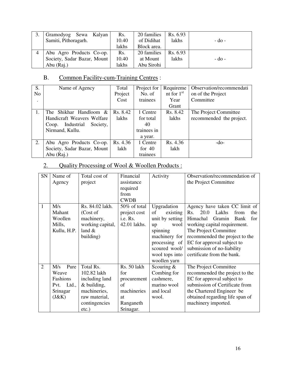| Gramodyog<br>Sewa Kalyan<br>Samiti, Pithoragarh. | Rs.<br>10.40 | 20 families<br>of Didihat | Rs. 6.93<br>lakhs | $-d0$ - |
|--------------------------------------------------|--------------|---------------------------|-------------------|---------|
|                                                  | lakhs        | Block area.               |                   |         |
| Abu Agro Products Co-op.                         | Rs.          | 20 families               | Rs. 6.93          |         |
| Society, Sadar Bazar, Mount                      | 10.40        | at Mount                  | lakhs             | $-do-$  |
| Abu (Raj.)                                       | lakhs        | Abu Sirohi                |                   |         |

# B. Common Facility-cum-Training Centres :

| S.             | Name of Agency                  | Total    | Project for | Requireme    | Observation/recommendati |
|----------------|---------------------------------|----------|-------------|--------------|--------------------------|
| N <sub>o</sub> |                                 | Project  | No. of      | nt for $1st$ | on of the Project        |
|                |                                 | Cost     | trainees    | Year         | Committee                |
|                |                                 |          |             | Grant        |                          |
| 1.             | Shikhar Handloom &<br>The       | Rs. 8.42 | 1 Centre    | Rs. 8.42     | The Project Committee    |
|                | Handicraft Weavers Welfare      | lakhs    | for total   | lakhs        | recommended the project. |
|                | Industrial<br>Society,<br>Coop. |          | 40          |              |                          |
|                | Nirmand, Kullu.                 |          | trainees in |              |                          |
|                |                                 |          | a year.     |              |                          |
| 2.             | Abu Agro Products Co-op.        | Rs. 4.36 | 1 Centre    | Rs. 4.36     | $-do-$                   |
|                | Society, Sadar Bazar, Mount     | lakh     | for $40$    | lakh         |                          |
|                | Abu (Raj.)                      |          | trainees    |              |                          |

# 2. Quality Processing of Wool & Woollen Products :

| SN           | Name of<br>Agency                                                      | Total cost of<br>project                                                                                                | Financial<br>assistance<br>required<br>from                                            | Activity                                                                                                                                                        | Observation/recommendation of<br>the Project Committee                                                                                                                                                                                                                                      |
|--------------|------------------------------------------------------------------------|-------------------------------------------------------------------------------------------------------------------------|----------------------------------------------------------------------------------------|-----------------------------------------------------------------------------------------------------------------------------------------------------------------|---------------------------------------------------------------------------------------------------------------------------------------------------------------------------------------------------------------------------------------------------------------------------------------------|
| $\mathbf{1}$ | M/s<br>Mahant<br>Woollen<br>Mills,<br>Kullu, H.P.                      | Rs. 84.02 lakh.<br>(Cost of<br>machinery,<br>working capital,<br>land $\&$<br>building)                                 | <b>CWDB</b><br>50% of total<br>project cost<br>i.e. Rs.<br>42.01 lakhs.                | Upgradation<br>οf<br>existing<br>unit by setting<br>wool<br>up<br>spinning<br>machinery for<br>processing of<br>scoured wool/<br>wool tops into<br>woollen yarn | Agency have taken CC limit of<br>Rs. 20.0<br>Lakhs<br>from<br>the<br>Himachal<br>Gramin<br>Bank<br>for<br>working capital requirement.<br>The Project Committee<br>recommended the project to the<br>EC for approval subject to<br>submission of no-liability<br>certificate from the bank. |
| 2            | Pure<br>M/s<br>Weave<br>Fashions<br>Ltd.,<br>Pvt.<br>Srinagar<br>(J&K) | Total Rs.<br>102.82 lakh<br>including land<br>& building,<br>machineries,<br>raw material,<br>contingencies<br>$etc.$ ) | Rs. 50 lakh<br>for<br>procurement<br>of<br>machineries<br>at<br>Ranganeth<br>Srinagar. | Scouring $&$<br>Combing for<br>cashmere,<br>marino wool<br>and local<br>wool.                                                                                   | The Project Committee<br>recommended the project to the<br>EC for approval subject to<br>submission of Certificate from<br>the Chartered Engineer be<br>obtained regarding life span of<br>machinery imported.                                                                              |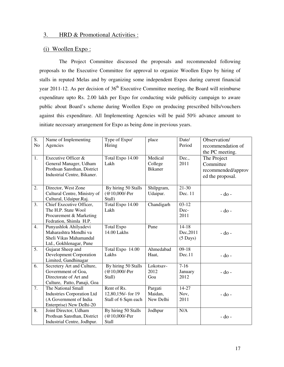#### 3. HRD & Promotional Activities :

#### (i) Woollen Expo :

 The Project Committee discussed the proposals and recommended following proposals to the Executive Committee for approval to organize Woollen Expo by hiring of stalls in reputed Melas and by organizing some independent Expos during current financial year 2011-12. As per decision of  $36<sup>th</sup>$  Executive Committee meeting, the Board will reimburse expenditure upto Rs. 2.00 lakh per Expo for conducting wide publicity campaign to aware public about Board's scheme during Woollen Expo on producing prescribed bills/vouchers against this expenditure. All Implementing Agencies will be paid 50% advance amount to initiate necessary arrangement for Expo as being done in previous years.

| S.<br>N <sub>o</sub> | Name of Implementing<br>Agencies                                                                              | Type of Expo/<br>Hiring                                  | place                                | Date/<br>Period                              | Observation/<br>recommendation of<br>the PC meeting.               |
|----------------------|---------------------------------------------------------------------------------------------------------------|----------------------------------------------------------|--------------------------------------|----------------------------------------------|--------------------------------------------------------------------|
| 1.                   | Executive Officer &<br>General Manager, Udham<br>Prothsan Sansthan, District<br>Industrial Centre, Bikaner.   | Total Expo 14.00<br>Lakh                                 | Medical<br>College<br><b>Bikaner</b> | Dec.,<br>2011                                | The Project<br>Committee<br>recommended/approv<br>ed the proposal. |
| 2.                   | Director, West Zone<br>Cultural Centre, Ministry of<br>Cultural, Udaipur.Raj.                                 | By hiring 50 Stalls<br>(@10,000/-Per<br>Stall)           | Shilpgram,<br>Udaipur.               | $21-30$<br>Dec. 11                           | $-do$ -                                                            |
| 3.                   | Chief Executive Officer,<br>The H.P. State Wool<br>Procurement & Marketing<br>Fedration, Shimla H.P.          | Total Expo 14.00<br>Lakh                                 | Chandigarh                           | $03-12$<br>Dec-<br>2011                      | $-$ do $-$                                                         |
| $\overline{4}$ .     | Punyashlok Ahilyadevi<br>Maharashtra Mendhi va<br>Sheli Vikas Mahamandal<br>Ltd., Gokhlenagar, Pune           | <b>Total Expo</b><br>14.00 Lakhs                         | Pune                                 | $14 - 18$<br>Dec, 2011<br>$(5 \text{ Days})$ | - do -                                                             |
| 5.                   | Gujarat Sheep and<br>Development Corporation<br>Limited, Gandhinagar                                          | Total Expo 14.00<br>Lakhs                                | Ahmedabad<br>Haat,                   | $09-18$<br>Dec.11                            | - do -                                                             |
| 6.                   | Secretery Art and Culture,<br>Government of Goa,<br>Directorate of Art and<br>Culture, Patto, Panaji, Goa     | By hiring 50 Stalls<br>(@10,000/-Per<br>Stall)           | Lokotsav-<br>2012<br>Goa             | $7-16$<br>January<br>2012                    | $-do-$                                                             |
| $\overline{7}$ .     | The National Small<br><b>Industries Corporation Ltd</b><br>(A Government of India<br>Enterprise) New Delhi-20 | Rent of Rs.<br>12,80,156/- for 19<br>Stall of 6 Sqm each | Pargati<br>Maidan,<br>New Delhi      | $14-27$<br>Nov,<br>2011                      | - do -                                                             |
| 8.                   | Joint Director, Udham<br>Prothsan Sansthan, District<br>Industrial Centre, Jodhpur.                           | By hiring 50 Stalls<br>(@10,000/-Per<br>Stall            | <b>Jodhpur</b>                       | N/A                                          | $-do$ -                                                            |